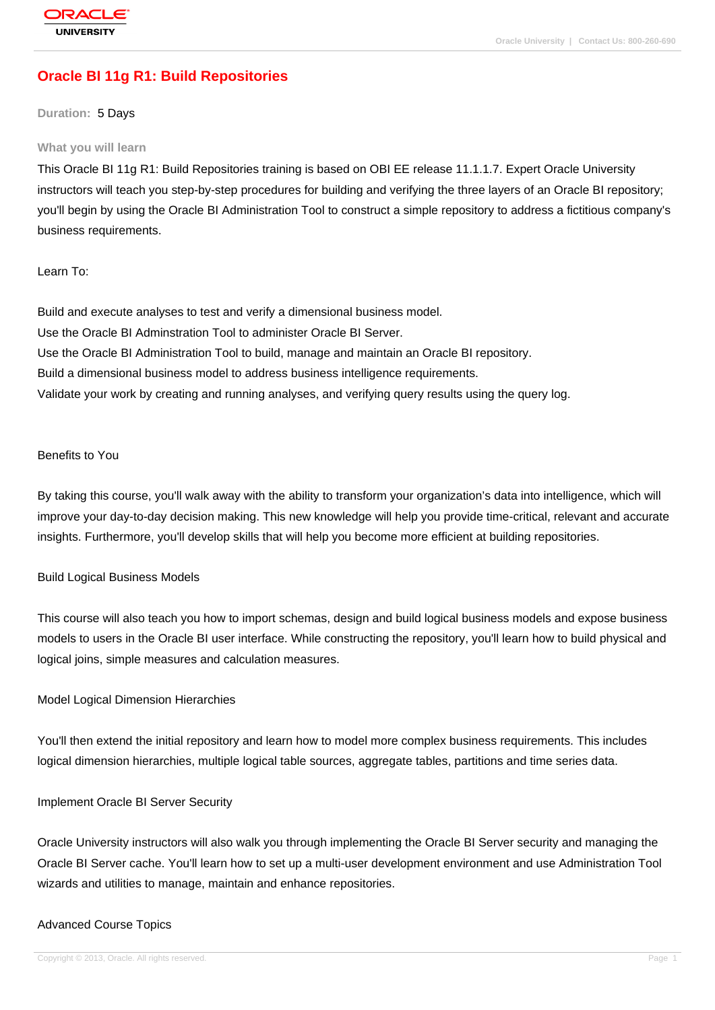# **[Oracle BI 11g R](http://education.oracle.com/pls/web_prod-plq-dad/db_pages.getpage?page_id=3)1: Build Repositories**

#### **Duration:** 5 Days

#### **What you will learn**

This Oracle BI 11g R1: Build Repositories training is based on OBI EE release 11.1.1.7. Expert Oracle University instructors will teach you step-by-step procedures for building and verifying the three layers of an Oracle BI repository; you'll begin by using the Oracle BI Administration Tool to construct a simple repository to address a fictitious company's business requirements.

#### Learn To:

Build and execute analyses to test and verify a dimensional business model. Use the Oracle BI Adminstration Tool to administer Oracle BI Server. Use the Oracle BI Administration Tool to build, manage and maintain an Oracle BI repository. Build a dimensional business model to address business intelligence requirements. Validate your work by creating and running analyses, and verifying query results using the query log.

#### Benefits to You

By taking this course, you'll walk away with the ability to transform your organization's data into intelligence, which will improve your day-to-day decision making. This new knowledge will help you provide time-critical, relevant and accurate insights. Furthermore, you'll develop skills that will help you become more efficient at building repositories.

#### Build Logical Business Models

This course will also teach you how to import schemas, design and build logical business models and expose business models to users in the Oracle BI user interface. While constructing the repository, you'll learn how to build physical and logical joins, simple measures and calculation measures.

### Model Logical Dimension Hierarchies

You'll then extend the initial repository and learn how to model more complex business requirements. This includes logical dimension hierarchies, multiple logical table sources, aggregate tables, partitions and time series data.

#### Implement Oracle BI Server Security

Oracle University instructors will also walk you through implementing the Oracle BI Server security and managing the Oracle BI Server cache. You'll learn how to set up a multi-user development environment and use Administration Tool wizards and utilities to manage, maintain and enhance repositories.

## Advanced Course Topics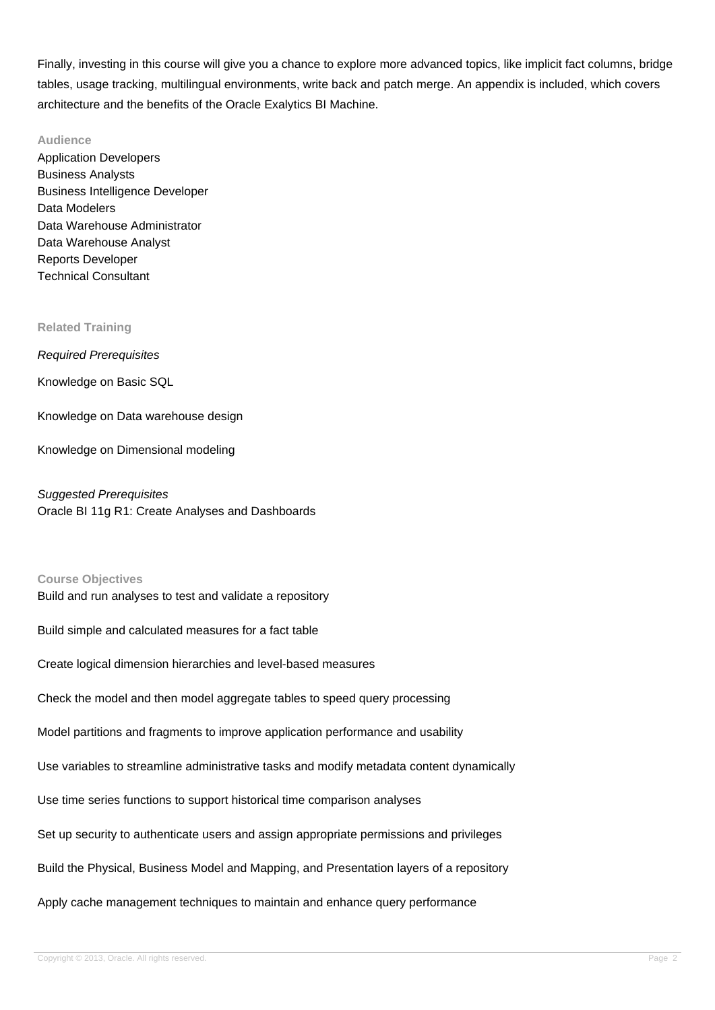Finally, investing in this course will give you a chance to explore more advanced topics, like implicit fact columns, bridge tables, usage tracking, multilingual environments, write back and patch merge. An appendix is included, which covers architecture and the benefits of the Oracle Exalytics BI Machine.

#### **Audience**

Application Developers Business Analysts Business Intelligence Developer Data Modelers Data Warehouse Administrator Data Warehouse Analyst Reports Developer Technical Consultant

#### **Related Training**

Required Prerequisites

Knowledge on Basic SQL

Knowledge on Data warehouse design

Knowledge on Dimensional modeling

Suggested Prerequisites Oracle BI 11g R1: Create Analyses and Dashboards

#### **Course Objectives**

Build and run analyses to test and validate a repository

Build simple and calculated measures for a fact table

Create logical dimension hierarchies and level-based measures

Check the model and then model aggregate tables to speed query processing

Model partitions and fragments to improve application performance and usability

Use variables to streamline administrative tasks and modify metadata content dynamically

Use time series functions to support historical time comparison analyses

Set up security to authenticate users and assign appropriate permissions and privileges

Build the Physical, Business Model and Mapping, and Presentation layers of a repository

Apply cache management techniques to maintain and enhance query performance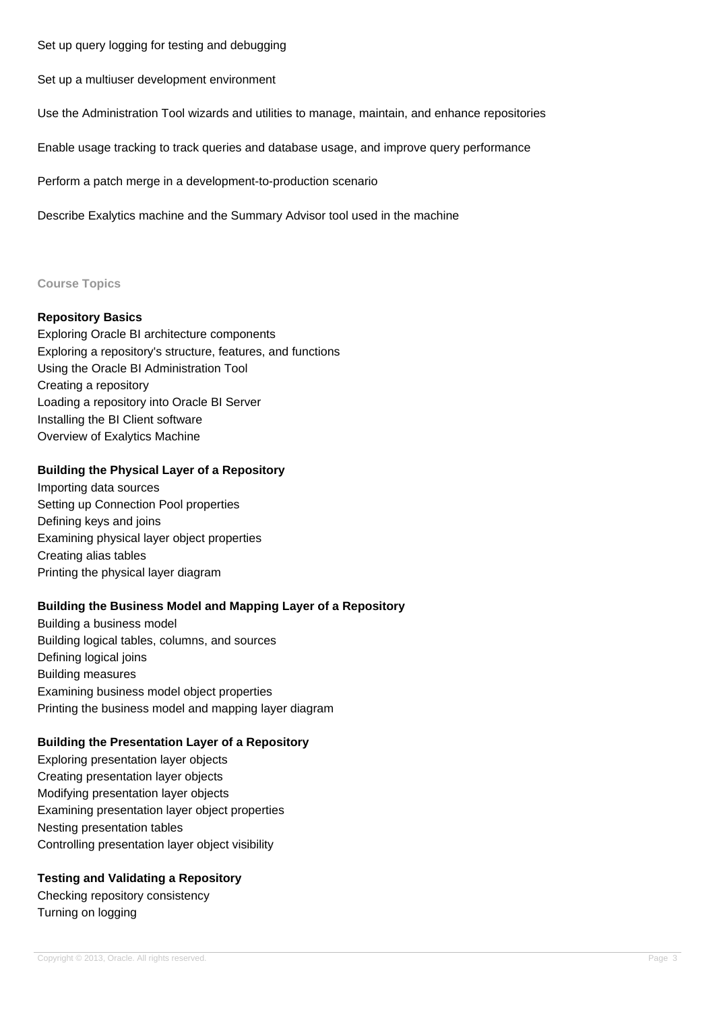Set up query logging for testing and debugging

Set up a multiuser development environment

Use the Administration Tool wizards and utilities to manage, maintain, and enhance repositories

Enable usage tracking to track queries and database usage, and improve query performance

Perform a patch merge in a development-to-production scenario

Describe Exalytics machine and the Summary Advisor tool used in the machine

### **Course Topics**

## **Repository Basics**

Exploring Oracle BI architecture components Exploring a repository's structure, features, and functions Using the Oracle BI Administration Tool Creating a repository Loading a repository into Oracle BI Server Installing the BI Client software Overview of Exalytics Machine

## **Building the Physical Layer of a Repository**

Importing data sources Setting up Connection Pool properties Defining keys and joins Examining physical layer object properties Creating alias tables Printing the physical layer diagram

## **Building the Business Model and Mapping Layer of a Repository**

Building a business model Building logical tables, columns, and sources Defining logical joins Building measures Examining business model object properties Printing the business model and mapping layer diagram

## **Building the Presentation Layer of a Repository**

Exploring presentation layer objects Creating presentation layer objects Modifying presentation layer objects Examining presentation layer object properties Nesting presentation tables Controlling presentation layer object visibility

## **Testing and Validating a Repository**

Checking repository consistency Turning on logging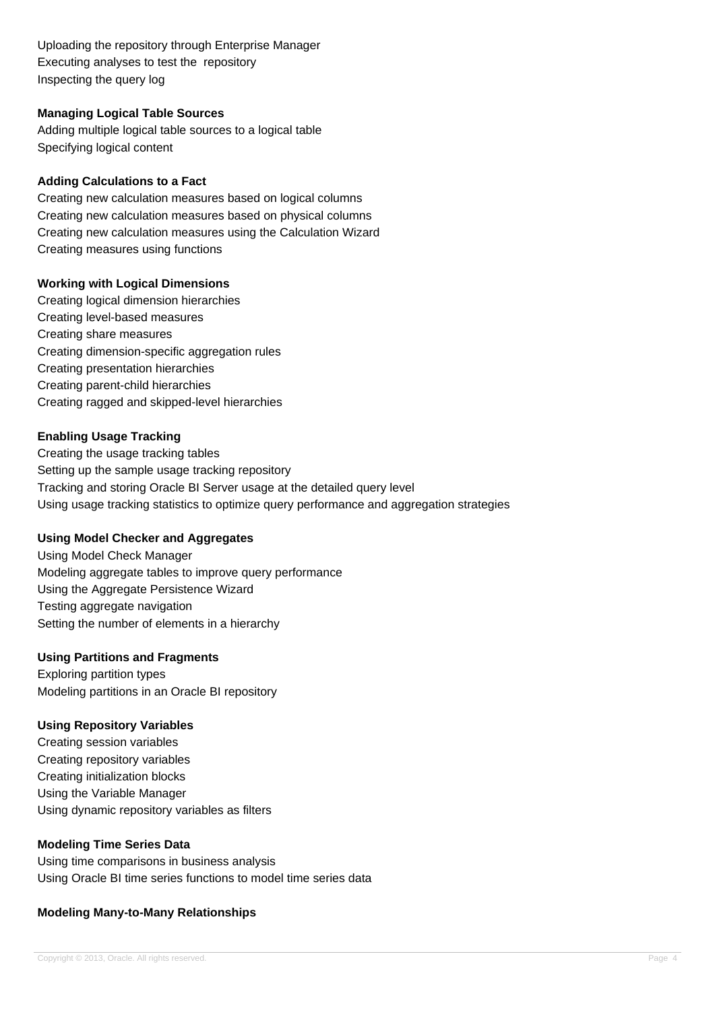Uploading the repository through Enterprise Manager Executing analyses to test the repository Inspecting the query log

## **Managing Logical Table Sources**

Adding multiple logical table sources to a logical table Specifying logical content

## **Adding Calculations to a Fact**

Creating new calculation measures based on logical columns Creating new calculation measures based on physical columns Creating new calculation measures using the Calculation Wizard Creating measures using functions

## **Working with Logical Dimensions**

Creating logical dimension hierarchies Creating level-based measures Creating share measures Creating dimension-specific aggregation rules Creating presentation hierarchies Creating parent-child hierarchies Creating ragged and skipped-level hierarchies

## **Enabling Usage Tracking**

Creating the usage tracking tables Setting up the sample usage tracking repository Tracking and storing Oracle BI Server usage at the detailed query level Using usage tracking statistics to optimize query performance and aggregation strategies

## **Using Model Checker and Aggregates**

Using Model Check Manager Modeling aggregate tables to improve query performance Using the Aggregate Persistence Wizard Testing aggregate navigation Setting the number of elements in a hierarchy

## **Using Partitions and Fragments**

Exploring partition types Modeling partitions in an Oracle BI repository

## **Using Repository Variables**

Creating session variables Creating repository variables Creating initialization blocks Using the Variable Manager Using dynamic repository variables as filters

## **Modeling Time Series Data**

Using time comparisons in business analysis Using Oracle BI time series functions to model time series data

## **Modeling Many-to-Many Relationships**